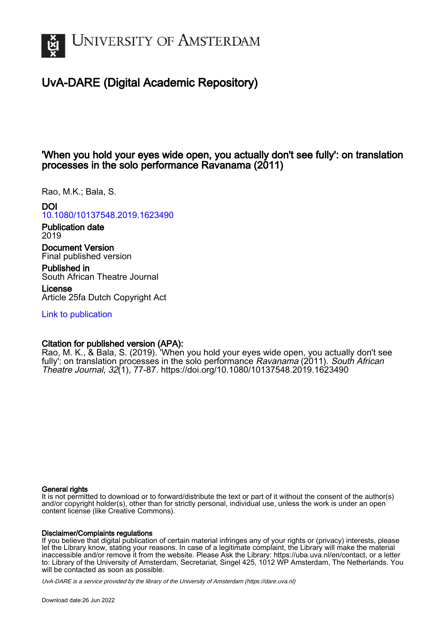

# UvA-DARE (Digital Academic Repository)

## 'When you hold your eyes wide open, you actually don't see fully': on translation processes in the solo performance Ravanama (2011)

Rao, M.K.; Bala, S.

## DOI

[10.1080/10137548.2019.1623490](https://doi.org/10.1080/10137548.2019.1623490)

Publication date 2019

Document Version Final published version

Published in South African Theatre Journal

License Article 25fa Dutch Copyright Act

[Link to publication](https://dare.uva.nl/personal/pure/en/publications/when-you-hold-your-eyes-wide-open-you-actually-dont-see-fully-on-translation-processes-in-the-solo-performance-ravanama-2011(c7cf6a93-bf27-430e-aa67-b1314775c6f1).html)

## Citation for published version (APA):

Rao, M. K., & Bala, S. (2019). 'When you hold your eyes wide open, you actually don't see fully': on translation processes in the solo performance Ravanama (2011). South African Theatre Journal, 32(1), 77-87. <https://doi.org/10.1080/10137548.2019.1623490>

## General rights

It is not permitted to download or to forward/distribute the text or part of it without the consent of the author(s) and/or copyright holder(s), other than for strictly personal, individual use, unless the work is under an open content license (like Creative Commons).

## Disclaimer/Complaints regulations

If you believe that digital publication of certain material infringes any of your rights or (privacy) interests, please let the Library know, stating your reasons. In case of a legitimate complaint, the Library will make the material inaccessible and/or remove it from the website. Please Ask the Library: https://uba.uva.nl/en/contact, or a letter to: Library of the University of Amsterdam, Secretariat, Singel 425, 1012 WP Amsterdam, The Netherlands. You will be contacted as soon as possible.

UvA-DARE is a service provided by the library of the University of Amsterdam (http*s*://dare.uva.nl)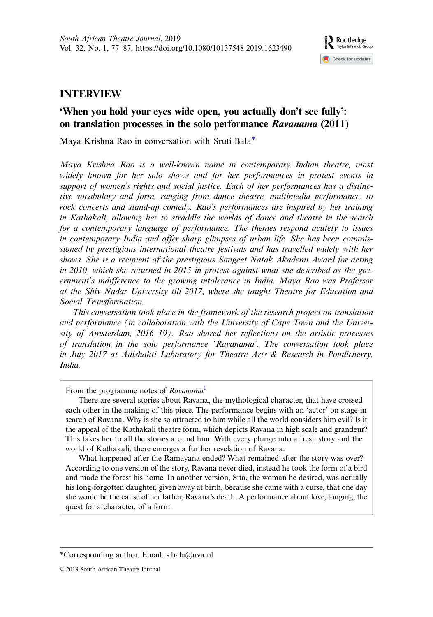

## INTERVIEW

## 'When you hold your eyes wide open, you actually don't see fully': on translation processes in the solo performance Ravanama (2011)

Maya Krishna Rao in conversation with Sruti Bala\*

Maya Krishna Rao is a well-known name in contemporary Indian theatre, most widely known for her solo shows and for her performances in protest events in support of women's rights and social justice. Each of her performances has a distinctive vocabulary and form, ranging from dance theatre, multimedia performance, to rock concerts and stand-up comedy. Rao's performances are inspired by her training in Kathakali, allowing her to straddle the worlds of dance and theatre in the search for a contemporary language of performance. The themes respond acutely to issues in contemporary India and offer sharp glimpses of urban life. She has been commissioned by prestigious international theatre festivals and has travelled widely with her shows. She is a recipient of the prestigious Sangeet Natak Akademi Award for acting in 2010, which she returned in 2015 in protest against what she described as the government's indifference to the growing intolerance in India. Maya Rao was Professor at the Shiv Nadar University till 2017, where she taught Theatre for Education and Social Transformation.

This conversation took place in the framework of the research project on translation and performance (in collaboration with the University of Cape Town and the University of Amsterdam, 2016–19). Rao shared her reflections on the artistic processes of translation in the solo performance 'Ravanama'. The conversation took place in July 2017 at Adishakti Laboratory for Theatre Arts & Research in Pondicherry, India.

From the programme notes of Ravanama<sup>[1](#page-11-0)</sup>

There are several stories about Ravana, the mythological character, that have crossed each other in the making of this piece. The performance begins with an 'actor' on stage in search of Ravana. Why is she so attracted to him while all the world considers him evil? Is it the appeal of the Kathakali theatre form, which depicts Ravana in high scale and grandeur? This takes her to all the stories around him. With every plunge into a fresh story and the world of Kathakali, there emerges a further revelation of Ravana.

What happened after the Ramayana ended? What remained after the story was over? According to one version of the story, Ravana never died, instead he took the form of a bird and made the forest his home. In another version, Sita, the woman he desired, was actually his long-forgotten daughter, given away at birth, because she came with a curse, that one day she would be the cause of her father, Ravana's death. A performance about love, longing, the quest for a character, of a form.

<sup>\*</sup>Corresponding author. Email: [s.bala@uva.nl](mailto:s.bala@uva.nl)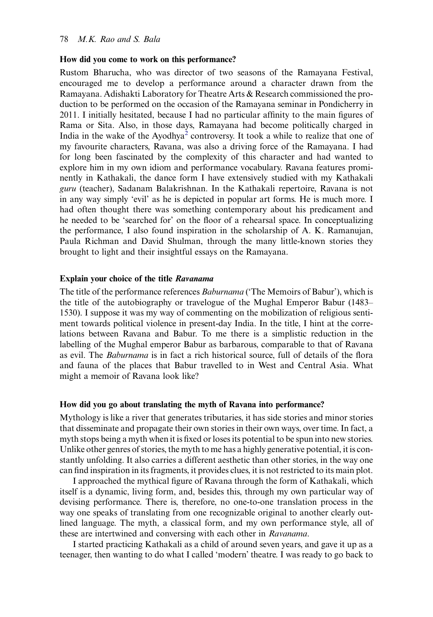### How did you come to work on this performance?

Rustom Bharucha, who was director of two seasons of the Ramayana Festival, encouraged me to develop a performance around a character drawn from the Ramayana. Adishakti Laboratory for Theatre Arts & Research commissioned the production to be performed on the occasion of the Ramayana seminar in Pondicherry in 2011. I initially hesitated, because I had no particular affinity to the main figures of Rama or Sita. Also, in those days, Ramayana had become politically charged in India in the wake of the Ayodhya<sup>[2](#page-11-0)</sup> controversy. It took a while to realize that one of my favourite characters, Ravana, was also a driving force of the Ramayana. I had for long been fascinated by the complexity of this character and had wanted to explore him in my own idiom and performance vocabulary. Ravana features prominently in Kathakali, the dance form I have extensively studied with my Kathakali guru (teacher), Sadanam Balakrishnan. In the Kathakali repertoire, Ravana is not in any way simply 'evil' as he is depicted in popular art forms. He is much more. I had often thought there was something contemporary about his predicament and he needed to be 'searched for' on the floor of a rehearsal space. In conceptualizing the performance, I also found inspiration in the scholarship of A. K. Ramanujan, Paula Richman and David Shulman, through the many little-known stories they brought to light and their insightful essays on the Ramayana.

## Explain your choice of the title Ravanama

The title of the performance references Baburnama ('The Memoirs of Babur'), which is the title of the autobiography or travelogue of the Mughal Emperor Babur (1483– 1530). I suppose it was my way of commenting on the mobilization of religious sentiment towards political violence in present-day India. In the title, I hint at the correlations between Ravana and Babur. To me there is a simplistic reduction in the labelling of the Mughal emperor Babur as barbarous, comparable to that of Ravana as evil. The Baburnama is in fact a rich historical source, full of details of the flora and fauna of the places that Babur travelled to in West and Central Asia. What might a memoir of Ravana look like?

#### How did you go about translating the myth of Ravana into performance?

Mythology is like a river that generates tributaries, it has side stories and minor stories that disseminate and propagate their own stories in their own ways, over time. In fact, a myth stops being a myth when it is fixed or loses its potential to be spun into new stories. Unlike other genres of stories, the myth to me has a highly generative potential, it is constantly unfolding. It also carries a different aesthetic than other stories, in the way one can find inspiration in its fragments, it provides clues, it is not restricted to its main plot.

I approached the mythical figure of Ravana through the form of Kathakali, which itself is a dynamic, living form, and, besides this, through my own particular way of devising performance. There is, therefore, no one-to-one translation process in the way one speaks of translating from one recognizable original to another clearly outlined language. The myth, a classical form, and my own performance style, all of these are intertwined and conversing with each other in Ravanama.

I started practicing Kathakali as a child of around seven years, and gave it up as a teenager, then wanting to do what I called 'modern' theatre. I was ready to go back to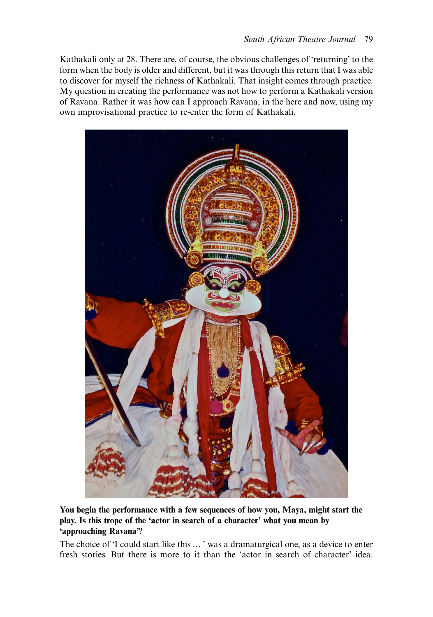Kathakali only at 28. There are, of course, the obvious challenges of 'returning' to the form when the body is older and different, but it was through this return that I was able to discover for myself the richness of Kathakali. That insight comes through practice. My question in creating the performance was not how to perform a Kathakali version of Ravana. Rather it was how can I approach Ravana, in the here and now, using my own improvisational practice to re-enter the form of Kathakali.



You begin the performance with a few sequences of how you, Maya, might start the play. Is this trope of the 'actor in search of a character' what you mean by 'approaching Ravana'?

The choice of 'I could start like this … ' was a dramaturgical one, as a device to enter fresh stories. But there is more to it than the 'actor in search of character' idea.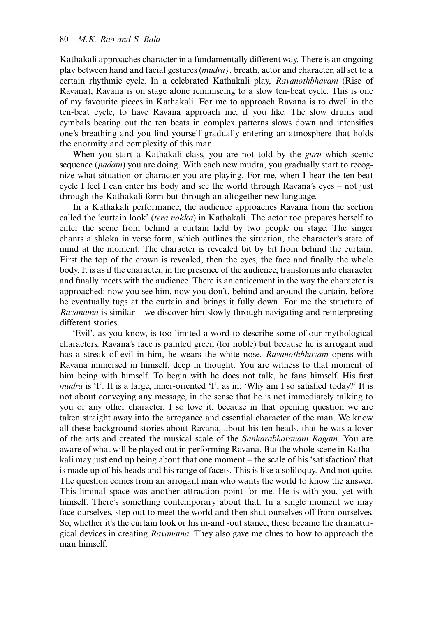Kathakali approaches character in a fundamentally different way. There is an ongoing play between hand and facial gestures (mudra), breath, actor and character, all set to a certain rhythmic cycle. In a celebrated Kathakali play, Ravanothbhavam (Rise of Ravana), Ravana is on stage alone reminiscing to a slow ten-beat cycle. This is one of my favourite pieces in Kathakali. For me to approach Ravana is to dwell in the ten-beat cycle, to have Ravana approach me, if you like. The slow drums and cymbals beating out the ten beats in complex patterns slows down and intensifies one's breathing and you find yourself gradually entering an atmosphere that holds the enormity and complexity of this man.

When you start a Kathakali class, you are not told by the *guru* which scenic sequence (*padam*) you are doing. With each new mudra, you gradually start to recognize what situation or character you are playing. For me, when I hear the ten-beat cycle I feel I can enter his body and see the world through Ravana's eyes – not just through the Kathakali form but through an altogether new language.

In a Kathakali performance, the audience approaches Ravana from the section called the 'curtain look' (tera nokka) in Kathakali. The actor too prepares herself to enter the scene from behind a curtain held by two people on stage. The singer chants a shloka in verse form, which outlines the situation, the character's state of mind at the moment. The character is revealed bit by bit from behind the curtain. First the top of the crown is revealed, then the eyes, the face and finally the whole body. It is as if the character, in the presence of the audience, transforms into character and finally meets with the audience. There is an enticement in the way the character is approached: now you see him, now you don't, behind and around the curtain, before he eventually tugs at the curtain and brings it fully down. For me the structure of Ravanama is similar – we discover him slowly through navigating and reinterpreting different stories.

'Evil', as you know, is too limited a word to describe some of our mythological characters. Ravana's face is painted green (for noble) but because he is arrogant and has a streak of evil in him, he wears the white nose. Ravanothbhavam opens with Ravana immersed in himself, deep in thought. You are witness to that moment of him being with himself. To begin with he does not talk, he fans himself. His first mudra is 'I'. It is a large, inner-oriented 'I', as in: 'Why am I so satisfied today?' It is not about conveying any message, in the sense that he is not immediately talking to you or any other character. I so love it, because in that opening question we are taken straight away into the arrogance and essential character of the man. We know all these background stories about Ravana, about his ten heads, that he was a lover of the arts and created the musical scale of the Sankarabharanam Ragam. You are aware of what will be played out in performing Ravana. But the whole scene in Kathakali may just end up being about that one moment – the scale of his 'satisfaction' that is made up of his heads and his range of facets. This is like a soliloquy. And not quite. The question comes from an arrogant man who wants the world to know the answer. This liminal space was another attraction point for me. He is with you, yet with himself. There's something contemporary about that. In a single moment we may face ourselves, step out to meet the world and then shut ourselves off from ourselves. So, whether it's the curtain look or his in-and -out stance, these became the dramaturgical devices in creating Ravanama. They also gave me clues to how to approach the man himself.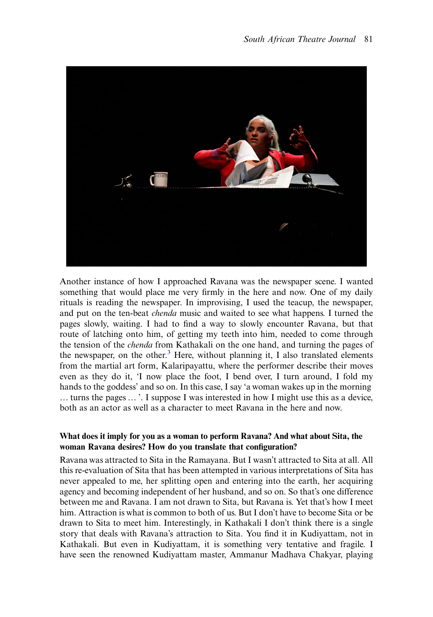

Another instance of how I approached Ravana was the newspaper scene. I wanted something that would place me very firmly in the here and now. One of my daily rituals is reading the newspaper. In improvising, I used the teacup, the newspaper, and put on the ten-beat chenda music and waited to see what happens. I turned the pages slowly, waiting. I had to find a way to slowly encounter Ravana, but that route of latching onto him, of getting my teeth into him, needed to come through the tension of the chenda from Kathakali on the one hand, and turning the pages of the newspaper, on the other. $3$  Here, without planning it, I also translated elements from the martial art form, Kalaripayattu, where the performer describe their moves even as they do it, 'I now place the foot, I bend over, I turn around, I fold my hands to the goddess' and so on. In this case, I say 'a woman wakes up in the morning … turns the pages … '. I suppose I was interested in how I might use this as a device, both as an actor as well as a character to meet Ravana in the here and now.

## What does it imply for you as a woman to perform Ravana? And what about Sita, the woman Ravana desires? How do you translate that configuration?

Ravana was attracted to Sita in the Ramayana. But I wasn't attracted to Sita at all. All this re-evaluation of Sita that has been attempted in various interpretations of Sita has never appealed to me, her splitting open and entering into the earth, her acquiring agency and becoming independent of her husband, and so on. So that's one difference between me and Ravana. I am not drawn to Sita, but Ravana is. Yet that's how I meet him. Attraction is what is common to both of us. But I don't have to become Sita or be drawn to Sita to meet him. Interestingly, in Kathakali I don't think there is a single story that deals with Ravana's attraction to Sita. You find it in Kudiyattam, not in Kathakali. But even in Kudiyattam, it is something very tentative and fragile. I have seen the renowned Kudiyattam master, Ammanur Madhava Chakyar, playing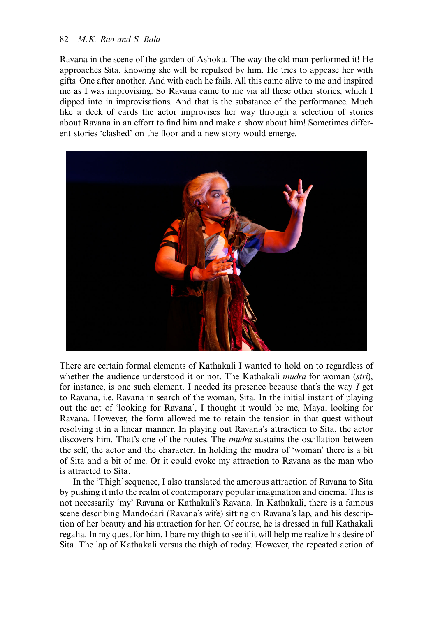## 82 M.K. Rao and S. Bala

Ravana in the scene of the garden of Ashoka. The way the old man performed it! He approaches Sita, knowing she will be repulsed by him. He tries to appease her with gifts. One after another. And with each he fails. All this came alive to me and inspired me as I was improvising. So Ravana came to me via all these other stories, which I dipped into in improvisations. And that is the substance of the performance. Much like a deck of cards the actor improvises her way through a selection of stories about Ravana in an effort to find him and make a show about him! Sometimes different stories 'clashed' on the floor and a new story would emerge.



There are certain formal elements of Kathakali I wanted to hold on to regardless of whether the audience understood it or not. The Kathakali *mudra* for woman (stri), for instance, is one such element. I needed its presence because that's the way I get to Ravana, i.e. Ravana in search of the woman, Sita. In the initial instant of playing out the act of 'looking for Ravana', I thought it would be me, Maya, looking for Ravana. However, the form allowed me to retain the tension in that quest without resolving it in a linear manner. In playing out Ravana's attraction to Sita, the actor discovers him. That's one of the routes. The *mudra* sustains the oscillation between the self, the actor and the character. In holding the mudra of 'woman' there is a bit of Sita and a bit of me. Or it could evoke my attraction to Ravana as the man who is attracted to Sita.

In the 'Thigh'sequence, I also translated the amorous attraction of Ravana to Sita by pushing it into the realm of contemporary popular imagination and cinema. This is not necessarily 'my' Ravana or Kathakali's Ravana. In Kathakali, there is a famous scene describing Mandodari (Ravana's wife) sitting on Ravana's lap, and his description of her beauty and his attraction for her. Of course, he is dressed in full Kathakali regalia. In my quest for him, I bare my thigh to see if it will help me realize his desire of Sita. The lap of Kathakali versus the thigh of today. However, the repeated action of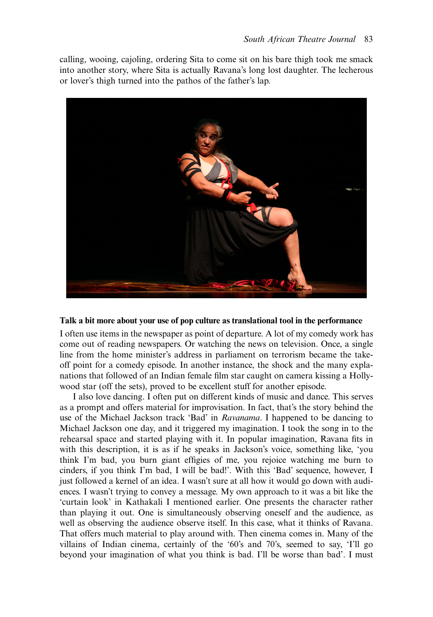calling, wooing, cajoling, ordering Sita to come sit on his bare thigh took me smack into another story, where Sita is actually Ravana's long lost daughter. The lecherous or lover's thigh turned into the pathos of the father's lap.



### Talk a bit more about your use of pop culture as translational tool in the performance

I often use items in the newspaper as point of departure. A lot of my comedy work has come out of reading newspapers. Or watching the news on television. Once, a single line from the home minister's address in parliament on terrorism became the takeoff point for a comedy episode. In another instance, the shock and the many explanations that followed of an Indian female film star caught on camera kissing a Hollywood star (off the sets), proved to be excellent stuff for another episode.

I also love dancing. I often put on different kinds of music and dance. This serves as a prompt and offers material for improvisation. In fact, that's the story behind the use of the Michael Jackson track 'Bad' in Ravanama. I happened to be dancing to Michael Jackson one day, and it triggered my imagination. I took the song in to the rehearsal space and started playing with it. In popular imagination, Ravana fits in with this description, it is as if he speaks in Jackson's voice, something like, 'you think I'm bad, you burn giant effigies of me, you rejoice watching me burn to cinders, if you think I'm bad, I will be bad!'. With this 'Bad' sequence, however, I just followed a kernel of an idea. I wasn't sure at all how it would go down with audiences. I wasn't trying to convey a message. My own approach to it was a bit like the 'curtain look' in Kathakali I mentioned earlier. One presents the character rather than playing it out. One is simultaneously observing oneself and the audience, as well as observing the audience observe itself. In this case, what it thinks of Ravana. That offers much material to play around with. Then cinema comes in. Many of the villains of Indian cinema, certainly of the '60's and 70's, seemed to say, 'I'll go beyond your imagination of what you think is bad. I'll be worse than bad'. I must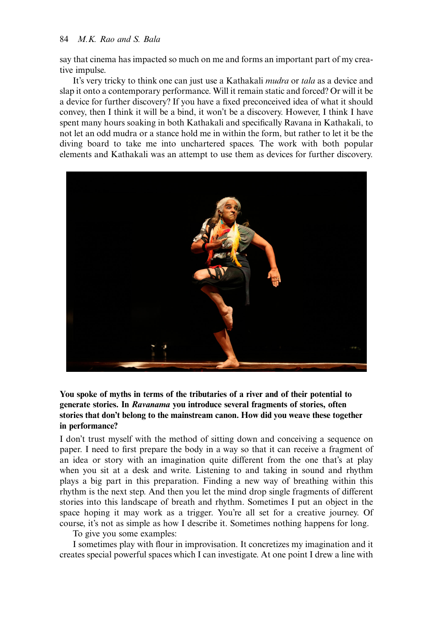say that cinema has impacted so much on me and forms an important part of my creative impulse.

It's very tricky to think one can just use a Kathakali *mudra* or *tala* as a device and slap it onto a contemporary performance. Will it remain static and forced? Or will it be a device for further discovery? If you have a fixed preconceived idea of what it should convey, then I think it will be a bind, it won't be a discovery. However, I think I have spent many hours soaking in both Kathakali and specifically Ravana in Kathakali, to not let an odd mudra or a stance hold me in within the form, but rather to let it be the diving board to take me into unchartered spaces. The work with both popular elements and Kathakali was an attempt to use them as devices for further discovery.



## You spoke of myths in terms of the tributaries of a river and of their potential to generate stories. In Ravanama you introduce several fragments of stories, often stories that don't belong to the mainstream canon. How did you weave these together in performance?

I don't trust myself with the method of sitting down and conceiving a sequence on paper. I need to first prepare the body in a way so that it can receive a fragment of an idea or story with an imagination quite different from the one that's at play when you sit at a desk and write. Listening to and taking in sound and rhythm plays a big part in this preparation. Finding a new way of breathing within this rhythm is the next step. And then you let the mind drop single fragments of different stories into this landscape of breath and rhythm. Sometimes I put an object in the space hoping it may work as a trigger. You're all set for a creative journey. Of course, it's not as simple as how I describe it. Sometimes nothing happens for long.

To give you some examples:

I sometimes play with flour in improvisation. It concretizes my imagination and it creates special powerful spaces which I can investigate. At one point I drew a line with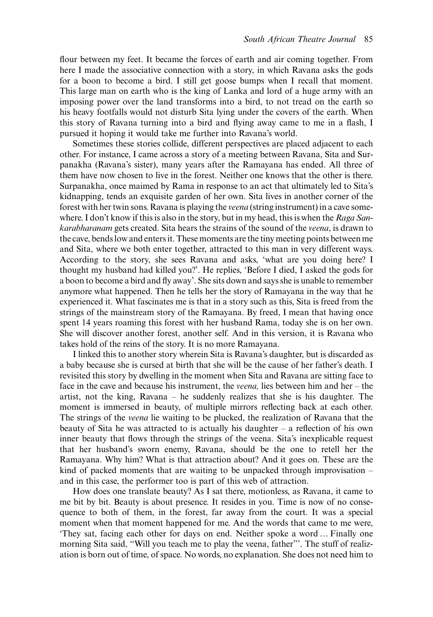flour between my feet. It became the forces of earth and air coming together. From here I made the associative connection with a story, in which Ravana asks the gods for a boon to become a bird. I still get goose bumps when I recall that moment. This large man on earth who is the king of Lanka and lord of a huge army with an imposing power over the land transforms into a bird, to not tread on the earth so his heavy footfalls would not disturb Sita lying under the covers of the earth. When this story of Ravana turning into a bird and flying away came to me in a flash, I pursued it hoping it would take me further into Ravana's world.

Sometimes these stories collide, different perspectives are placed adjacent to each other. For instance, I came across a story of a meeting between Ravana, Sita and Surpanakha (Ravana's sister), many years after the Ramayana has ended. All three of them have now chosen to live in the forest. Neither one knows that the other is there. Surpanakha, once maimed by Rama in response to an act that ultimately led to Sita's kidnapping, tends an exquisite garden of her own. Sita lives in another corner of the forest with her twin sons. Ravana is playing the veena (string instrument) in a cave somewhere. I don't know if this is also in the story, but in my head, this is when the Raga Sankarabharanam gets created. Sita hears the strains of the sound of the veena, is drawn to the cave, bends low and enters it. These moments are the tiny meeting points between me and Sita, where we both enter together, attracted to this man in very different ways. According to the story, she sees Ravana and asks, 'what are you doing here? I thought my husband had killed you?'. He replies, 'Before I died, I asked the gods for a boon to become a bird and fly away'. She sits down and says she is unable to remember anymore what happened. Then he tells her the story of Ramayana in the way that he experienced it. What fascinates me is that in a story such as this, Sita is freed from the strings of the mainstream story of the Ramayana. By freed, I mean that having once spent 14 years roaming this forest with her husband Rama, today she is on her own. She will discover another forest, another self. And in this version, it is Ravana who takes hold of the reins of the story. It is no more Ramayana.

I linked this to another story wherein Sita is Ravana's daughter, but is discarded as a baby because she is cursed at birth that she will be the cause of her father's death. I revisited this story by dwelling in the moment when Sita and Ravana are sitting face to face in the cave and because his instrument, the veena, lies between him and her – the artist, not the king, Ravana – he suddenly realizes that she is his daughter. The moment is immersed in beauty, of multiple mirrors reflecting back at each other. The strings of the *veena* lie waiting to be plucked, the realization of Ravana that the beauty of Sita he was attracted to is actually his daughter – a reflection of his own inner beauty that flows through the strings of the veena. Sita's inexplicable request that her husband's sworn enemy, Ravana, should be the one to retell her the Ramayana. Why him? What is that attraction about? And it goes on. These are the kind of packed moments that are waiting to be unpacked through improvisation  $$ and in this case, the performer too is part of this web of attraction.

How does one translate beauty? As I sat there, motionless, as Ravana, it came to me bit by bit. Beauty is about presence. It resides in you. Time is now of no consequence to both of them, in the forest, far away from the court. It was a special moment when that moment happened for me. And the words that came to me were, 'They sat, facing each other for days on end. Neither spoke a word … Finally one morning Sita said, "Will you teach me to play the veena, father"'. The stuff of realization is born out of time, of space. No words, no explanation. She does not need him to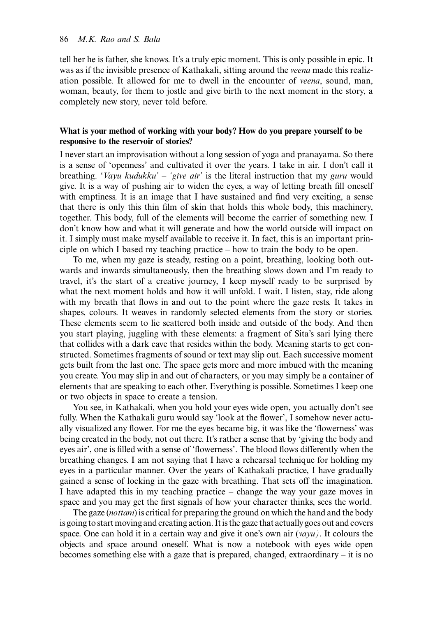### 86 M.K. Rao and S. Bala

tell her he is father, she knows. It's a truly epic moment. This is only possible in epic. It was as if the invisible presence of Kathakali, sitting around the veena made this realization possible. It allowed for me to dwell in the encounter of veena, sound, man, woman, beauty, for them to jostle and give birth to the next moment in the story, a completely new story, never told before.

## What is your method of working with your body? How do you prepare yourself to be responsive to the reservoir of stories?

I never start an improvisation without a long session of yoga and pranayama. So there is a sense of 'openness' and cultivated it over the years. I take in air. I don't call it breathing. 'Vayu kudukku' – 'give air' is the literal instruction that my guru would give. It is a way of pushing air to widen the eyes, a way of letting breath fill oneself with emptiness. It is an image that I have sustained and find very exciting, a sense that there is only this thin film of skin that holds this whole body, this machinery, together. This body, full of the elements will become the carrier of something new. I don't know how and what it will generate and how the world outside will impact on it. I simply must make myself available to receive it. In fact, this is an important principle on which I based my teaching practice – how to train the body to be open.

To me, when my gaze is steady, resting on a point, breathing, looking both outwards and inwards simultaneously, then the breathing slows down and I'm ready to travel, it's the start of a creative journey, I keep myself ready to be surprised by what the next moment holds and how it will unfold. I wait. I listen, stay, ride along with my breath that flows in and out to the point where the gaze rests. It takes in shapes, colours. It weaves in randomly selected elements from the story or stories. These elements seem to lie scattered both inside and outside of the body. And then you start playing, juggling with these elements: a fragment of Sita's sari lying there that collides with a dark cave that resides within the body. Meaning starts to get constructed. Sometimes fragments of sound or text may slip out. Each successive moment gets built from the last one. The space gets more and more imbued with the meaning you create. You may slip in and out of characters, or you may simply be a container of elements that are speaking to each other. Everything is possible. Sometimes I keep one or two objects in space to create a tension.

You see, in Kathakali, when you hold your eyes wide open, you actually don't see fully. When the Kathakali guru would say 'look at the flower', I somehow never actually visualized any flower. For me the eyes became big, it was like the 'flowerness' was being created in the body, not out there. It's rather a sense that by 'giving the body and eyes air', one is filled with a sense of 'flowerness'. The blood flows differently when the breathing changes. I am not saying that I have a rehearsal technique for holding my eyes in a particular manner. Over the years of Kathakali practice, I have gradually gained a sense of locking in the gaze with breathing. That sets off the imagination. I have adapted this in my teaching practice – change the way your gaze moves in space and you may get the first signals of how your character thinks, sees the world.

The gaze (nottam) is critical for preparing the ground on which the hand and the body is going to start moving and creating action. It is the gaze that actually goes out and covers space. One can hold it in a certain way and give it one's own air (vayu). It colours the objects and space around oneself. What is now a notebook with eyes wide open becomes something else with a gaze that is prepared, changed, extraordinary – it is no